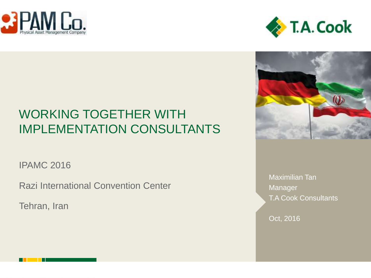





# WORKING TOGETHER WITH IMPLEMENTATION CONSULTANTS

IPAMC 2016

Razi International Convention Center

Tehran, Iran

Maximilian Tan **Manager** T.A Cook Consultants

Oct, 2016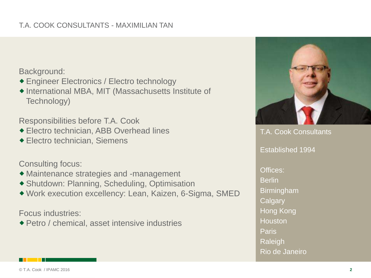### T.A. COOK CONSULTANTS - MAXIMILIAN TAN

Background:

- Engineer Electronics / Electro technology
- ◆ International MBA, MIT (Massachusetts Institute of Technology)

Responsibilities before T.A. Cook

- Electro technician, ABB Overhead lines
- Electro technician, Siemens

Consulting focus:

- Maintenance strategies and -management
- Shutdown: Planning, Scheduling, Optimisation
- Work execution excellency: Lean, Kaizen, 6-Sigma, SMED

Focus industries:

Petro / chemical, asset intensive industries



T.A. Cook Consultants Established 1994 Offices: Berlin Birmingham **Calgary** Hong Kong Houston Paris Raleigh Rio de Janeiro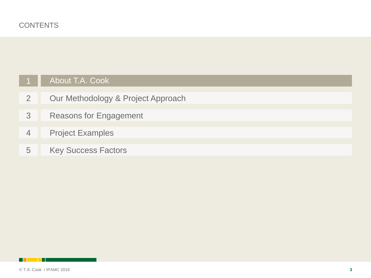## About T.A. Cook

- [2](#page-6-0) **[Our Methodology & Project Approach](#page-6-0)**
- [3](#page-11-0) [Reasons for Engagement](#page-11-0)
- [4](#page-14-0) [Project Examples](#page-14-0)
- <span id="page-2-0"></span>[5](#page-18-0) [Key Success Factors](#page-18-0)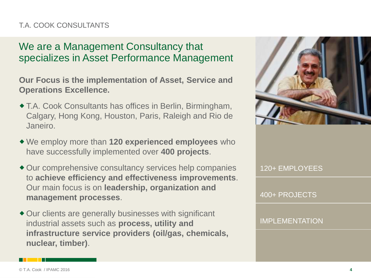### T.A. COOK CONSULTANTS

## We are a Management Consultancy that specializes in Asset Performance Management

**Our Focus is the implementation of Asset, Service and Operations Excellence.** 

- T.A. Cook Consultants has offices in Berlin, Birmingham, Calgary, Hong Kong, Houston, Paris, Raleigh and Rio de Janeiro.
- We employ more than **120 experienced employees** who have successfully implemented over **400 projects**.
- Our comprehensive consultancy services help companies to **achieve efficiency and effectiveness improvements**. Our main focus is on **leadership, organization and management processes**.
- Our clients are generally businesses with significant industrial assets such as **process, utility and infrastructure service providers (oil/gas, chemicals, nuclear, timber)**.



120+ EMPLOYEES

400+ PROJECTS

IMPLEMENTATION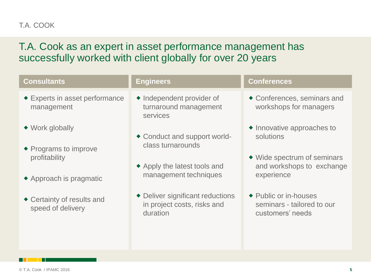### T.A. COOK

## T.A. Cook as an expert in asset performance management has successfully worked with client globally for over 20 years

| <b>Consultants</b>                                     | <b>Engineers</b>                                                            | <b>Conferences</b>                                                      |
|--------------------------------------------------------|-----------------------------------------------------------------------------|-------------------------------------------------------------------------|
| ◆ Experts in asset performance<br>management           | • Independent provider of<br>turnaround management<br>services              | ◆ Conferences, seminars and<br>workshops for managers                   |
| $\blacklozenge$ Work globally<br>◆ Programs to improve | ◆ Conduct and support world-<br>class turnarounds                           | $\bullet$ Innovative approaches to<br>solutions                         |
| profitability<br>$\triangle$ Approach is pragmatic     | ◆ Apply the latest tools and<br>management techniques                       | ◆ Wide spectrum of seminars<br>and workshops to exchange<br>experience  |
| ◆ Certainty of results and<br>speed of delivery        | • Deliver significant reductions<br>in project costs, risks and<br>duration | ◆ Public or in-houses<br>seminars - tailored to our<br>customers' needs |
|                                                        |                                                                             |                                                                         |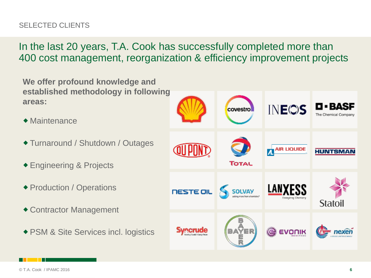## SELECTED CLIENTS

In the last 20 years, T.A. Cook has successfully completed more than 400 cost management, reorganization & efficiency improvement projects

**We offer profound knowledge and established methodology in following areas:**

- $\triangle$  Maintenance
- ◆ Turnaround / Shutdown / Outages
- Engineering & Projects
- ◆ Production / Operations
- Contractor Management
- ◆ PSM & Site Services incl. logistics

| 9                                       | covestro                | <b>INEOS</b>                    | <b>D-BASF</b><br>The Chemical Company |
|-----------------------------------------|-------------------------|---------------------------------|---------------------------------------|
| <b>QUPOND</b>                           | <b>TOTAL</b>            | <b>AIR LIQUIDE</b>              | <b>HUNTSMAN</b>                       |
|                                         | <b>NESTE OIL</b> SOLVAY | LANXESS<br>Energizing Chemistry | <b>Statoil</b>                        |
| merude<br>Searing Canada's Energy Fatur | ÝER                     | evon                            |                                       |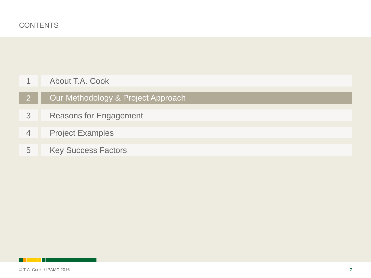| About T.A. Cook |
|-----------------|
|-----------------|

- **Our Methodology & Project Approach**
- [Reasons for Engagement](#page-11-0)
- [Project Examples](#page-14-0)
- <span id="page-6-0"></span>[Key Success Factors](#page-18-0)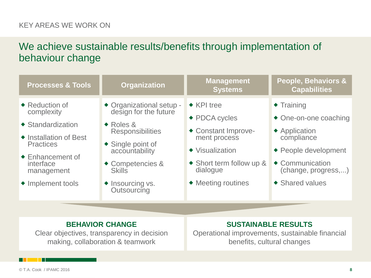#### KEY AREAS WE WORK ON

## We achieve sustainable results/benefits through implementation of behaviour change

| <b>Processes &amp; Tools</b>                                                                                                                                                                      | <b>Organization</b>                                                                                                                                                                                                          | <b>Management</b><br><b>Systems</b>                                                                                                                                     | <b>People, Behaviors &amp;</b><br><b>Capabilities</b>                                                                                                             |
|---------------------------------------------------------------------------------------------------------------------------------------------------------------------------------------------------|------------------------------------------------------------------------------------------------------------------------------------------------------------------------------------------------------------------------------|-------------------------------------------------------------------------------------------------------------------------------------------------------------------------|-------------------------------------------------------------------------------------------------------------------------------------------------------------------|
| $\triangle$ Reduction of<br>complexity<br>$\triangle$ Standardization<br>◆ Installation of Best<br><b>Practices</b><br>$\triangle$ Enhancement of<br>interface<br>management<br>• Implement tools | ◆ Organizational setup -<br>design for the future<br>$\triangle$ Roles &<br><b>Responsibilities</b><br>$\triangle$ Single point of<br>accountability<br>◆ Competencies &<br><b>Skills</b><br>◆ Insourcing vs.<br>Outsourcing | $\triangle$ KPI tree<br>◆ PDCA cycles<br>◆ Constant Improve-<br>ment process<br>◆ Visualization<br>◆ Short term follow up &<br>dialogue<br>$\triangle$ Meeting routines | $\triangle$ Training<br>• One-on-one coaching<br>◆ Application<br>compliance<br>◆ People development<br>◆ Communication<br>(change, progress,)<br>◆ Shared values |
|                                                                                                                                                                                                   |                                                                                                                                                                                                                              |                                                                                                                                                                         |                                                                                                                                                                   |

#### **BEHAVIOR CHANGE**

Clear objectives, transparency in decision making, collaboration & teamwork

#### **SUSTAINABLE RESULTS**

Operational improvements, sustainable financial benefits, cultural changes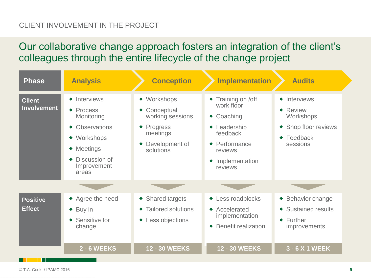### CLIENT INVOLVEMENT IN THE PROJECT

Our collaborative change approach fosters an integration of the client's colleagues through the entire lifecycle of the change project

| <b>Phase</b>                        | <b>Analysis</b>                                                                                                                                                          | <b>Conception</b>                                                                                         | <b>Implementation</b>                                                                                                                                    | <b>Audits</b>                                                                                                         |
|-------------------------------------|--------------------------------------------------------------------------------------------------------------------------------------------------------------------------|-----------------------------------------------------------------------------------------------------------|----------------------------------------------------------------------------------------------------------------------------------------------------------|-----------------------------------------------------------------------------------------------------------------------|
| <b>Client</b><br><b>Involvement</b> | $\triangle$ Interviews<br>$\triangle$ Process<br>Monitoring<br><b>Observations</b><br>Workshops<br>$\bullet$<br><b>Meetings</b><br>Discussion of<br>Improvement<br>areas | ◆ Workshops<br>Conceptual<br>working sessions<br>Progress<br>۰<br>meetings<br>Development of<br>solutions | ◆ Training on /off<br>work floor<br>Coaching<br>$\bullet$<br>• Leadership<br>feedback<br>$\triangle$ Performance<br>reviews<br>Implementation<br>reviews | $\triangle$ Interviews<br>$\triangle$ Review<br>Workshops<br>◆ Shop floor reviews<br>$\triangle$ Feedback<br>sessions |
|                                     |                                                                                                                                                                          |                                                                                                           |                                                                                                                                                          |                                                                                                                       |
| <b>Positive</b><br><b>Effect</b>    | ◆ Agree the need<br>Buy in<br>۰<br>Sensitive for<br>change                                                                                                               | ◆ Shared targets<br><b>Tailored solutions</b><br>◆ Less objections                                        | ◆ Less roadblocks<br>$\triangle$ Accelerated<br>implementation<br><b>Benefit realization</b><br>$\bullet$                                                | ◆ Behavior change<br>◆ Sustained results<br>$\triangle$ Further<br><i>improvements</i>                                |
|                                     | <b>2 - 6 WEEKS</b>                                                                                                                                                       | <b>12 - 30 WEEKS</b>                                                                                      | <b>12 - 30 WEEKS</b>                                                                                                                                     | 3 - 6 X 1 WEEK                                                                                                        |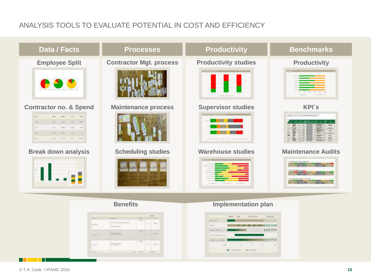### ANALYSIS TOOLS TO EVALUATE POTENTIAL IN COST AND EFFICIENCY



| of the | --                 | <b>The Contract</b> | <b>Carlo</b> |                              |
|--------|--------------------|---------------------|--------------|------------------------------|
|        | ×<br>۳             |                     | m            | $\overline{\mathbb{R}}$<br>× |
| --     |                    |                     | 73           |                              |
|        | <b>Carried Co.</b> |                     |              |                              |
|        |                    |                     |              |                              |

|       | <b>Jedyn Thigo</b> |   | $-0.000$       |            |          |  |     |   |
|-------|--------------------|---|----------------|------------|----------|--|-----|---|
| ---   |                    |   |                | 0011111111 |          |  |     |   |
| ۰     |                    |   |                |            |          |  |     |   |
|       |                    |   |                |            | 11111111 |  |     |   |
| 44.14 |                    |   |                |            |          |  |     |   |
|       |                    |   |                |            |          |  | 115 |   |
|       | ٠                  | ٠ | ÷              | u          |          |  |     | ٠ |
|       | m                  |   | <b>HATCHER</b> |            |          |  |     |   |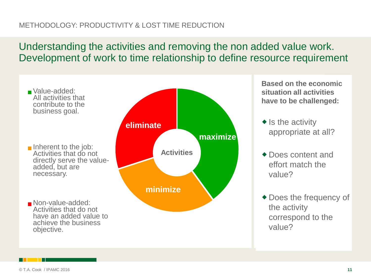### METHODOLOGY: PRODUCTIVITY & LOST TIME REDUCTION

## Understanding the activities and removing the non added value work. Development of work to time relationship to define resource requirement



**Based on the economic situation all activities have to be challenged:**

- $\triangle$  Is the activity appropriate at all?
- ◆ Does content and effort match the value?
- ◆ Does the frequency of the activity correspond to the value?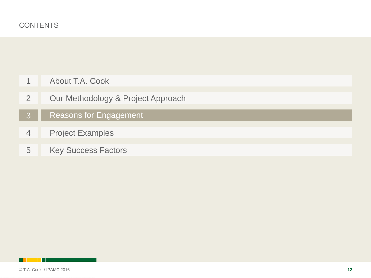- [About T.A. Cook](#page-2-0)
- [Our Methodology & Project Approach](#page-6-0)
- Reasons for Engagement
- [Project Examples](#page-14-0)
- <span id="page-11-0"></span>[Key Success Factors](#page-18-0)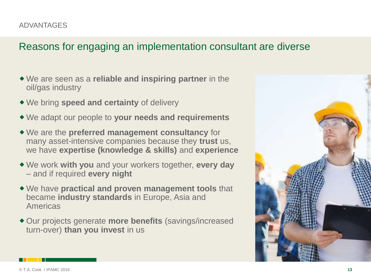## Reasons for engaging an implementation consultant are diverse

- We are seen as a **reliable and inspiring partner** in the oil/gas industry
- We bring **speed and certainty** of delivery
- We adapt our people to **your needs and requirements**
- We are the **preferred management consultancy** for many asset-intensive companies because they **trust** us, we have **expertise (knowledge & skills)** and **experience**
- We work **with you** and your workers together, **every day**  – and if required **every night**
- We have **practical and proven management tools** that became **industry standards** in Europe, Asia and Americas
- Our projects generate **more benefits** (savings/increased turn-over) **than you invest** in us

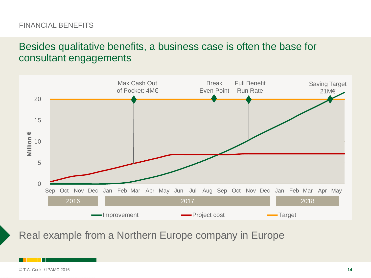#### FINANCIAL BENEFITS

## Besides qualitative benefits, a business case is often the base for consultant engagements



Real example from a Northern Europe company in Europe

© T.A. Cook / IPAMC 2016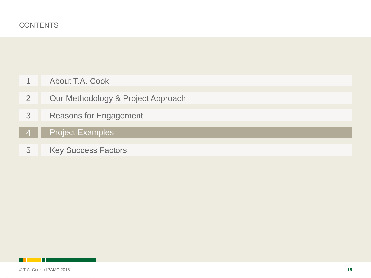- [Our Methodology & Project Approach](#page-6-0)
- [Reasons for Engagement](#page-11-0)
- **Project Examples**
- <span id="page-14-0"></span>[Key Success Factors](#page-18-0)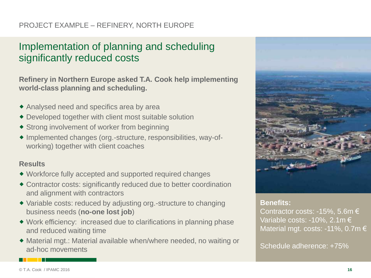### PROJECT EXAMPLE – REFINERY, NORTH EUROPE

## Implementation of planning and scheduling significantly reduced costs

**Refinery in Northern Europe asked T.A. Cook help implementing world-class planning and scheduling.**

- Analysed need and specifics area by area
- Developed together with client most suitable solution
- ◆ Strong involvement of worker from beginning
- Implemented changes (org.-structure, responsibilities, way-ofworking) together with client coaches

#### **Results**

- Workforce fully accepted and supported required changes
- Contractor costs: significantly reduced due to better coordination and alignment with contractors
- Variable costs: reduced by adjusting org.-structure to changing business needs (**no-one lost job**)
- Work efficiency: increased due to clarifications in planning phase and reduced waiting time
- Material mgt.: Material available when/where needed, no waiting or ad-hoc movements



#### **Benefits:**

Contractor costs: -15%, 5.6m  $\in$ Variable costs: -10%, 2.1m € Material mgt. costs: -11%, 0.7m €

Schedule adherence: +75%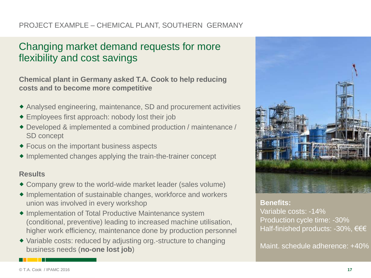### PROJECT EXAMPLE – CHEMICAL PLANT, SOUTHERN GERMANY

## Changing market demand requests for more flexibility and cost savings

**Chemical plant in Germany asked T.A. Cook to help reducing costs and to become more competitive**

- Analysed engineering, maintenance, SD and procurement activities
- Employees first approach: nobody lost their job
- Developed & implemented a combined production / maintenance / SD concept
- Focus on the important business aspects
- ◆ Implemented changes applying the train-the-trainer concept

#### **Results**

- Company grew to the world-wide market leader (sales volume)
- ◆ Implementation of sustainable changes, workforce and workers union was involved in every workshop
- Implementation of Total Productive Maintenance system (conditional, preventive) leading to increased machine utilisation, higher work efficiency, maintenance done by production personnel
- Variable costs: reduced by adjusting org.-structure to changing business needs (**no-one lost job**)



**Benefits:**

Variable costs: -14% Production cycle time: -30% Half-finished products: -30%, €€€

Maint. schedule adherence: +40%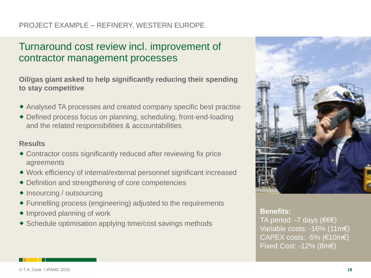### PROJECT EXAMPLE – REFINERY, WESTERN EUROPE

## Turnaround cost review incl. improvement of contractor management processes

**Oil/gas giant asked to help significantly reducing their spending to stay competitive**

- Analysed TA processes and created company specific best practise
- Defined process focus on planning, scheduling, front-end-loading and the related responsibilities & accountabilities

#### **Results**

- Contractor costs significantly reduced after reviewing fix price agreements
- Work efficiency of internal/external personnel significant increased
- Definition and strengthening of core competencies
- ◆ Insourcing / outsourcing
- Funnelling process (engineering) adjusted to the requirements
- $\triangle$  Improved planning of work
- Schedule optimisation applying time/cost savings methods



#### **Benefits:**

TA period: -7 days (€€€) Variable costs: -16% (11m€) CAPEX costs:  $-5\%$  ( $\varepsilon$ 10m $\varepsilon$ ) Fixed Cost: -12% (8m€)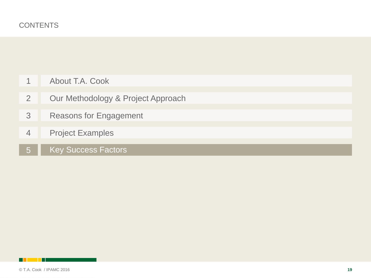| $\overline{A}$ | About T.A. Cook |  |  |
|----------------|-----------------|--|--|
|----------------|-----------------|--|--|

- [2](#page-6-0) [Our Methodology & Project Approach](#page-6-0)
- [3](#page-11-0) [Reasons for Engagement](#page-11-0)
- [4](#page-14-0) [Project Examples](#page-14-0)
- 5 Key Success Factors

<span id="page-18-0"></span>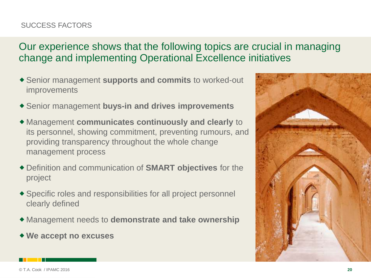## SUCCESS FACTORS

## Our experience shows that the following topics are crucial in managing change and implementing Operational Excellence initiatives

- Senior management **supports and commits** to worked-out improvements
- Senior management **buys-in and drives improvements**
- Management **communicates continuously and clearly** to its personnel, showing commitment, preventing rumours, and providing transparency throughout the whole change management process
- Definition and communication of **SMART objectives** for the project
- Specific roles and responsibilities for all project personnel clearly defined
- Management needs to **demonstrate and take ownership**
- **We accept no excuses**

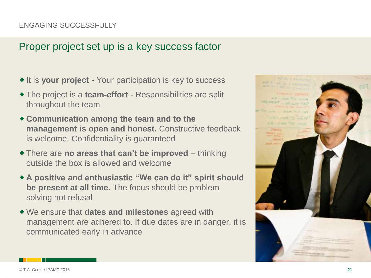### ENGAGING SUCCESSFULLY

## Proper project set up is a key success factor

- ◆ It is your project Your participation is key to success
- The project is a **team-effort**  Responsibilities are split throughout the team
- **Communication among the team and to the management is open and honest.** Constructive feedback is welcome. Confidentiality is guaranteed
- There are **no areas that can't be improved**  thinking outside the box is allowed and welcome
- **A positive and enthusiastic "We can do it" spirit should be present at all time.** The focus should be problem solving not refusal
- We ensure that **dates and milestones** agreed with management are adhered to. If due dates are in danger, it is communicated early in advance